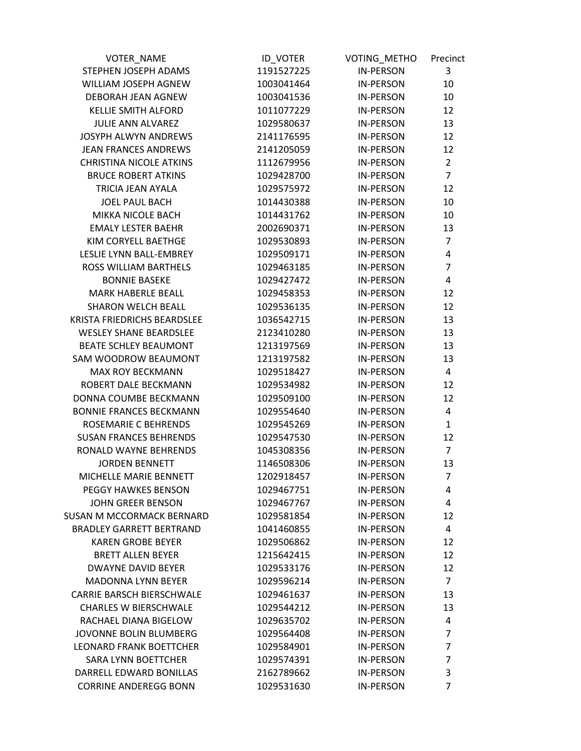| <b>VOTER NAME</b>                | <b>ID_VOTER</b> | VOTING_METHO     | Precinct       |
|----------------------------------|-----------------|------------------|----------------|
| STEPHEN JOSEPH ADAMS             | 1191527225      | <b>IN-PERSON</b> | 3              |
| WILLIAM JOSEPH AGNEW             | 1003041464      | <b>IN-PERSON</b> | 10             |
| DEBORAH JEAN AGNEW               | 1003041536      | <b>IN-PERSON</b> | 10             |
| <b>KELLIE SMITH ALFORD</b>       | 1011077229      | <b>IN-PERSON</b> | 12             |
| <b>JULIE ANN ALVAREZ</b>         | 1029580637      | <b>IN-PERSON</b> | 13             |
| JOSYPH ALWYN ANDREWS             | 2141176595      | <b>IN-PERSON</b> | 12             |
| <b>JEAN FRANCES ANDREWS</b>      | 2141205059      | <b>IN-PERSON</b> | 12             |
| <b>CHRISTINA NICOLE ATKINS</b>   | 1112679956      | <b>IN-PERSON</b> | $\overline{2}$ |
| <b>BRUCE ROBERT ATKINS</b>       | 1029428700      | <b>IN-PERSON</b> | $\overline{7}$ |
| TRICIA JEAN AYALA                | 1029575972      | <b>IN-PERSON</b> | 12             |
| <b>JOEL PAUL BACH</b>            | 1014430388      | <b>IN-PERSON</b> | 10             |
| MIKKA NICOLE BACH                | 1014431762      | <b>IN-PERSON</b> | 10             |
| <b>EMALY LESTER BAEHR</b>        | 2002690371      | <b>IN-PERSON</b> | 13             |
| KIM CORYELL BAETHGE              | 1029530893      | <b>IN-PERSON</b> | $\overline{7}$ |
| LESLIE LYNN BALL-EMBREY          | 1029509171      | <b>IN-PERSON</b> | 4              |
| ROSS WILLIAM BARTHELS            | 1029463185      | <b>IN-PERSON</b> | 7              |
| <b>BONNIE BASEKE</b>             | 1029427472      | <b>IN-PERSON</b> | 4              |
| <b>MARK HABERLE BEALL</b>        | 1029458353      | <b>IN-PERSON</b> | 12             |
| <b>SHARON WELCH BEALL</b>        | 1029536135      | <b>IN-PERSON</b> | 12             |
| KRISTA FRIEDRICHS BEARDSLEE      | 1036542715      | <b>IN-PERSON</b> | 13             |
| <b>WESLEY SHANE BEARDSLEE</b>    | 2123410280      | <b>IN-PERSON</b> | 13             |
| <b>BEATE SCHLEY BEAUMONT</b>     | 1213197569      | <b>IN-PERSON</b> | 13             |
| SAM WOODROW BEAUMONT             | 1213197582      | <b>IN-PERSON</b> | 13             |
| <b>MAX ROY BECKMANN</b>          | 1029518427      | <b>IN-PERSON</b> | 4              |
| ROBERT DALE BECKMANN             | 1029534982      | <b>IN-PERSON</b> | 12             |
| DONNA COUMBE BECKMANN            | 1029509100      | <b>IN-PERSON</b> | 12             |
| <b>BONNIE FRANCES BECKMANN</b>   | 1029554640      | <b>IN-PERSON</b> | 4              |
| ROSEMARIE C BEHRENDS             | 1029545269      | <b>IN-PERSON</b> | $\mathbf{1}$   |
| <b>SUSAN FRANCES BEHRENDS</b>    | 1029547530      | <b>IN-PERSON</b> | 12             |
| RONALD WAYNE BEHRENDS            | 1045308356      | <b>IN-PERSON</b> | $\overline{7}$ |
| <b>JORDEN BENNETT</b>            | 1146508306      | <b>IN-PERSON</b> | 13             |
| MICHELLE MARIE BENNETT           | 1202918457      | IN-PERSON        | $\overline{7}$ |
| PEGGY HAWKES BENSON              | 1029467751      | <b>IN-PERSON</b> | 4              |
| <b>JOHN GREER BENSON</b>         | 1029467767      | <b>IN-PERSON</b> | 4              |
| SUSAN M MCCORMACK BERNARD        | 1029581854      | <b>IN-PERSON</b> | 12             |
| <b>BRADLEY GARRETT BERTRAND</b>  | 1041460855      | <b>IN-PERSON</b> | 4              |
| <b>KAREN GROBE BEYER</b>         | 1029506862      | <b>IN-PERSON</b> | 12             |
| <b>BRETT ALLEN BEYER</b>         | 1215642415      | <b>IN-PERSON</b> | 12             |
| <b>DWAYNE DAVID BEYER</b>        | 1029533176      | <b>IN-PERSON</b> | 12             |
| <b>MADONNA LYNN BEYER</b>        | 1029596214      | <b>IN-PERSON</b> | $\overline{7}$ |
| <b>CARRIE BARSCH BIERSCHWALE</b> | 1029461637      | <b>IN-PERSON</b> | 13             |
| <b>CHARLES W BIERSCHWALE</b>     | 1029544212      | <b>IN-PERSON</b> | 13             |
| RACHAEL DIANA BIGELOW            | 1029635702      | <b>IN-PERSON</b> | 4              |
| JOVONNE BOLIN BLUMBERG           | 1029564408      | <b>IN-PERSON</b> | $\overline{7}$ |
| <b>LEONARD FRANK BOETTCHER</b>   | 1029584901      | <b>IN-PERSON</b> | $\overline{7}$ |
| <b>SARA LYNN BOETTCHER</b>       | 1029574391      | <b>IN-PERSON</b> | 7              |
| DARRELL EDWARD BONILLAS          | 2162789662      | <b>IN-PERSON</b> | 3              |
| <b>CORRINE ANDEREGG BONN</b>     | 1029531630      | <b>IN-PERSON</b> | 7              |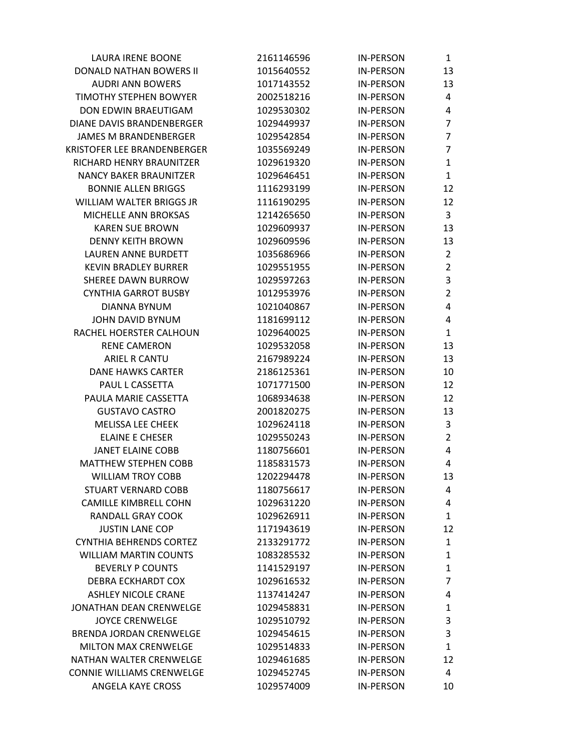| <b>LAURA IRENE BOONE</b>         | 2161146596 | <b>IN-PERSON</b> | $\mathbf{1}$   |
|----------------------------------|------------|------------------|----------------|
| DONALD NATHAN BOWERS II          | 1015640552 | <b>IN-PERSON</b> | 13             |
| <b>AUDRI ANN BOWERS</b>          | 1017143552 | <b>IN-PERSON</b> | 13             |
| <b>TIMOTHY STEPHEN BOWYER</b>    | 2002518216 | <b>IN-PERSON</b> | 4              |
| DON EDWIN BRAEUTIGAM             | 1029530302 | <b>IN-PERSON</b> | 4              |
| DIANE DAVIS BRANDENBERGER        | 1029449937 | <b>IN-PERSON</b> | $\overline{7}$ |
| <b>JAMES M BRANDENBERGER</b>     | 1029542854 | <b>IN-PERSON</b> | $\overline{7}$ |
| KRISTOFER LEE BRANDENBERGER      | 1035569249 | <b>IN-PERSON</b> | $\overline{7}$ |
| RICHARD HENRY BRAUNITZER         | 1029619320 | <b>IN-PERSON</b> | 1              |
| <b>NANCY BAKER BRAUNITZER</b>    | 1029646451 | <b>IN-PERSON</b> | $\mathbf{1}$   |
| <b>BONNIE ALLEN BRIGGS</b>       | 1116293199 | <b>IN-PERSON</b> | 12             |
| WILLIAM WALTER BRIGGS JR         | 1116190295 | <b>IN-PERSON</b> | 12             |
| MICHELLE ANN BROKSAS             | 1214265650 | <b>IN-PERSON</b> | 3              |
| <b>KAREN SUE BROWN</b>           | 1029609937 | <b>IN-PERSON</b> | 13             |
| <b>DENNY KEITH BROWN</b>         | 1029609596 | <b>IN-PERSON</b> | 13             |
| LAUREN ANNE BURDETT              | 1035686966 | <b>IN-PERSON</b> | $\overline{2}$ |
| <b>KEVIN BRADLEY BURRER</b>      | 1029551955 | <b>IN-PERSON</b> | $\overline{2}$ |
| <b>SHEREE DAWN BURROW</b>        | 1029597263 | <b>IN-PERSON</b> | 3              |
| <b>CYNTHIA GARROT BUSBY</b>      | 1012953976 | <b>IN-PERSON</b> | $\overline{2}$ |
| <b>DIANNA BYNUM</b>              | 1021040867 | <b>IN-PERSON</b> | 4              |
| JOHN DAVID BYNUM                 | 1181699112 | <b>IN-PERSON</b> | 4              |
| RACHEL HOERSTER CALHOUN          | 1029640025 | <b>IN-PERSON</b> | 1              |
| <b>RENE CAMERON</b>              | 1029532058 | <b>IN-PERSON</b> | 13             |
| ARIEL R CANTU                    | 2167989224 | <b>IN-PERSON</b> | 13             |
| <b>DANE HAWKS CARTER</b>         | 2186125361 | <b>IN-PERSON</b> | 10             |
| PAUL L CASSETTA                  | 1071771500 | <b>IN-PERSON</b> | 12             |
| PAULA MARIE CASSETTA             | 1068934638 | <b>IN-PERSON</b> | 12             |
| <b>GUSTAVO CASTRO</b>            | 2001820275 | <b>IN-PERSON</b> | 13             |
| <b>MELISSA LEE CHEEK</b>         | 1029624118 | <b>IN-PERSON</b> | 3              |
| <b>ELAINE E CHESER</b>           | 1029550243 | <b>IN-PERSON</b> | $\overline{2}$ |
| <b>JANET ELAINE COBB</b>         | 1180756601 | <b>IN-PERSON</b> | 4              |
| <b>MATTHEW STEPHEN COBB</b>      | 1185831573 | <b>IN-PERSON</b> | 4              |
| <b>WILLIAM TROY COBB</b>         | 1202294478 | <b>IN-PERSON</b> | 13             |
| <b>STUART VERNARD COBB</b>       | 1180756617 | <b>IN-PERSON</b> | 4              |
| <b>CAMILLE KIMBRELL COHN</b>     | 1029631220 | <b>IN-PERSON</b> | 4              |
| <b>RANDALL GRAY COOK</b>         | 1029626911 | <b>IN-PERSON</b> | 1              |
| <b>JUSTIN LANE COP</b>           | 1171943619 | <b>IN-PERSON</b> | 12             |
| <b>CYNTHIA BEHRENDS CORTEZ</b>   | 2133291772 | <b>IN-PERSON</b> | $\mathbf{1}$   |
| <b>WILLIAM MARTIN COUNTS</b>     | 1083285532 | <b>IN-PERSON</b> | 1              |
| <b>BEVERLY P COUNTS</b>          | 1141529197 | <b>IN-PERSON</b> | 1              |
| <b>DEBRA ECKHARDT COX</b>        | 1029616532 | <b>IN-PERSON</b> | 7              |
| <b>ASHLEY NICOLE CRANE</b>       | 1137414247 | <b>IN-PERSON</b> | 4              |
| JONATHAN DEAN CRENWELGE          | 1029458831 | <b>IN-PERSON</b> | 1              |
| <b>JOYCE CRENWELGE</b>           | 1029510792 | <b>IN-PERSON</b> | 3              |
| <b>BRENDA JORDAN CRENWELGE</b>   | 1029454615 | <b>IN-PERSON</b> | 3              |
| <b>MILTON MAX CRENWELGE</b>      | 1029514833 | <b>IN-PERSON</b> | 1              |
| NATHAN WALTER CRENWELGE          | 1029461685 | <b>IN-PERSON</b> | 12             |
| <b>CONNIE WILLIAMS CRENWELGE</b> | 1029452745 | <b>IN-PERSON</b> | 4              |
| ANGELA KAYE CROSS                | 1029574009 | <b>IN-PERSON</b> | 10             |
|                                  |            |                  |                |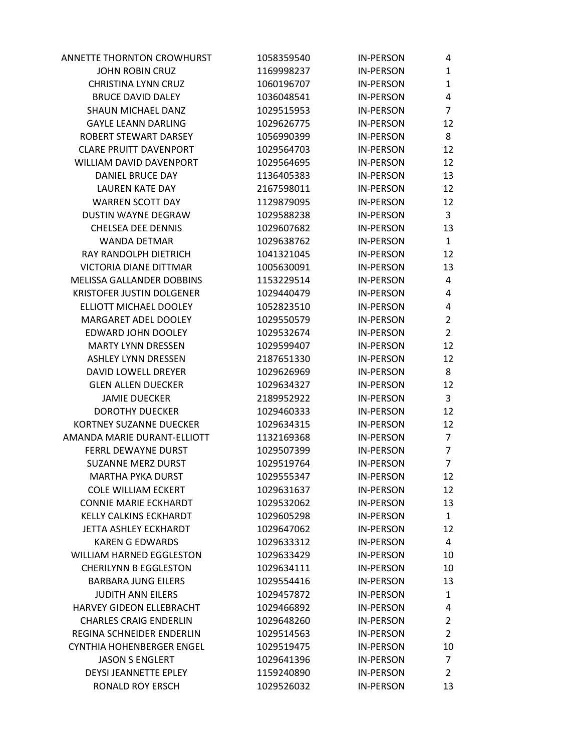| ANNETTE THORNTON CROWHURST       | 1058359540 | <b>IN-PERSON</b> | 4              |
|----------------------------------|------------|------------------|----------------|
| <b>JOHN ROBIN CRUZ</b>           | 1169998237 | <b>IN-PERSON</b> | 1              |
| <b>CHRISTINA LYNN CRUZ</b>       | 1060196707 | <b>IN-PERSON</b> | 1              |
| <b>BRUCE DAVID DALEY</b>         | 1036048541 | <b>IN-PERSON</b> | 4              |
| SHAUN MICHAEL DANZ               | 1029515953 | <b>IN-PERSON</b> | $\overline{7}$ |
| <b>GAYLE LEANN DARLING</b>       | 1029626775 | <b>IN-PERSON</b> | 12             |
| ROBERT STEWART DARSEY            | 1056990399 | <b>IN-PERSON</b> | 8              |
| <b>CLARE PRUITT DAVENPORT</b>    | 1029564703 | <b>IN-PERSON</b> | 12             |
| WILLIAM DAVID DAVENPORT          | 1029564695 | <b>IN-PERSON</b> | 12             |
| <b>DANIEL BRUCE DAY</b>          | 1136405383 | <b>IN-PERSON</b> | 13             |
| <b>LAUREN KATE DAY</b>           | 2167598011 | <b>IN-PERSON</b> | 12             |
| <b>WARREN SCOTT DAY</b>          | 1129879095 | <b>IN-PERSON</b> | 12             |
| DUSTIN WAYNE DEGRAW              | 1029588238 | <b>IN-PERSON</b> | 3              |
| <b>CHELSEA DEE DENNIS</b>        | 1029607682 | <b>IN-PERSON</b> | 13             |
| <b>WANDA DETMAR</b>              | 1029638762 | <b>IN-PERSON</b> | $\mathbf{1}$   |
| RAY RANDOLPH DIETRICH            | 1041321045 | <b>IN-PERSON</b> | 12             |
| <b>VICTORIA DIANE DITTMAR</b>    | 1005630091 | <b>IN-PERSON</b> | 13             |
| MELISSA GALLANDER DOBBINS        | 1153229514 | <b>IN-PERSON</b> | 4              |
| <b>KRISTOFER JUSTIN DOLGENER</b> | 1029440479 | <b>IN-PERSON</b> | 4              |
| ELLIOTT MICHAEL DOOLEY           | 1052823510 | <b>IN-PERSON</b> | 4              |
| MARGARET ADEL DOOLEY             | 1029550579 | <b>IN-PERSON</b> | 2              |
| EDWARD JOHN DOOLEY               | 1029532674 | <b>IN-PERSON</b> | $\overline{2}$ |
| <b>MARTY LYNN DRESSEN</b>        | 1029599407 | <b>IN-PERSON</b> | 12             |
| <b>ASHLEY LYNN DRESSEN</b>       | 2187651330 | <b>IN-PERSON</b> | 12             |
| DAVID LOWELL DREYER              | 1029626969 | <b>IN-PERSON</b> | 8              |
| <b>GLEN ALLEN DUECKER</b>        | 1029634327 | <b>IN-PERSON</b> | 12             |
| <b>JAMIE DUECKER</b>             | 2189952922 | <b>IN-PERSON</b> | 3              |
| <b>DOROTHY DUECKER</b>           | 1029460333 | <b>IN-PERSON</b> | 12             |
| <b>KORTNEY SUZANNE DUECKER</b>   | 1029634315 | <b>IN-PERSON</b> | 12             |
| AMANDA MARIE DURANT-ELLIOTT      | 1132169368 | <b>IN-PERSON</b> | 7              |
| <b>FERRL DEWAYNE DURST</b>       | 1029507399 | <b>IN-PERSON</b> | 7              |
| <b>SUZANNE MERZ DURST</b>        | 1029519764 | <b>IN-PERSON</b> | $\overline{7}$ |
| <b>MARTHA PYKA DURST</b>         | 1029555347 | <b>IN-PERSON</b> | 12             |
| <b>COLE WILLIAM ECKERT</b>       | 1029631637 | <b>IN-PERSON</b> | 12             |
| <b>CONNIE MARIE ECKHARDT</b>     | 1029532062 | <b>IN-PERSON</b> | 13             |
| KELLY CALKINS ECKHARDT           | 1029605298 | <b>IN-PERSON</b> | $\mathbf{1}$   |
| JETTA ASHLEY ECKHARDT            | 1029647062 | <b>IN-PERSON</b> | 12             |
| <b>KAREN G EDWARDS</b>           | 1029633312 | <b>IN-PERSON</b> | 4              |
| <b>WILLIAM HARNED EGGLESTON</b>  | 1029633429 | <b>IN-PERSON</b> | 10             |
| <b>CHERILYNN B EGGLESTON</b>     | 1029634111 | <b>IN-PERSON</b> | 10             |
| <b>BARBARA JUNG EILERS</b>       | 1029554416 | <b>IN-PERSON</b> | 13             |
| <b>JUDITH ANN EILERS</b>         | 1029457872 | <b>IN-PERSON</b> | 1              |
| HARVEY GIDEON ELLEBRACHT         | 1029466892 | <b>IN-PERSON</b> | 4              |
| <b>CHARLES CRAIG ENDERLIN</b>    | 1029648260 | <b>IN-PERSON</b> | $\overline{2}$ |
| REGINA SCHNEIDER ENDERLIN        | 1029514563 | <b>IN-PERSON</b> | 2              |
| <b>CYNTHIA HOHENBERGER ENGEL</b> | 1029519475 | <b>IN-PERSON</b> | 10             |
| <b>JASON S ENGLERT</b>           | 1029641396 | <b>IN-PERSON</b> | $\overline{7}$ |
| <b>DEYSI JEANNETTE EPLEY</b>     | 1159240890 | <b>IN-PERSON</b> | 2              |
| <b>RONALD ROY ERSCH</b>          | 1029526032 | <b>IN-PERSON</b> | 13             |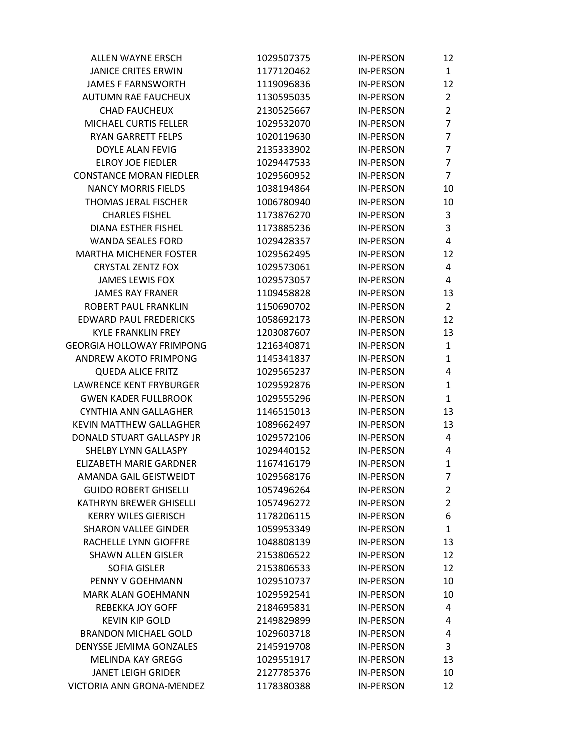| ALLEN WAYNE ERSCH                | 1029507375 | <b>IN-PERSON</b> | 12             |
|----------------------------------|------------|------------------|----------------|
| <b>JANICE CRITES ERWIN</b>       | 1177120462 | <b>IN-PERSON</b> | $\mathbf{1}$   |
| <b>JAMES F FARNSWORTH</b>        | 1119096836 | <b>IN-PERSON</b> | 12             |
| AUTUMN RAE FAUCHEUX              | 1130595035 | <b>IN-PERSON</b> | $\overline{2}$ |
| <b>CHAD FAUCHEUX</b>             | 2130525667 | <b>IN-PERSON</b> | $\overline{2}$ |
| MICHAEL CURTIS FELLER            | 1029532070 | <b>IN-PERSON</b> | $\overline{7}$ |
| <b>RYAN GARRETT FELPS</b>        | 1020119630 | <b>IN-PERSON</b> | $\overline{7}$ |
| DOYLE ALAN FEVIG                 | 2135333902 | <b>IN-PERSON</b> | $\overline{7}$ |
| <b>ELROY JOE FIEDLER</b>         | 1029447533 | <b>IN-PERSON</b> | $\overline{7}$ |
| <b>CONSTANCE MORAN FIEDLER</b>   | 1029560952 | <b>IN-PERSON</b> | $\overline{7}$ |
| <b>NANCY MORRIS FIELDS</b>       | 1038194864 | <b>IN-PERSON</b> | 10             |
| THOMAS JERAL FISCHER             | 1006780940 | <b>IN-PERSON</b> | 10             |
| <b>CHARLES FISHEL</b>            | 1173876270 | <b>IN-PERSON</b> | $\mathsf 3$    |
| DIANA ESTHER FISHEL              | 1173885236 | <b>IN-PERSON</b> | 3              |
| <b>WANDA SEALES FORD</b>         | 1029428357 | <b>IN-PERSON</b> | 4              |
| <b>MARTHA MICHENER FOSTER</b>    | 1029562495 | <b>IN-PERSON</b> | 12             |
| <b>CRYSTAL ZENTZ FOX</b>         | 1029573061 | <b>IN-PERSON</b> | 4              |
| <b>JAMES LEWIS FOX</b>           | 1029573057 | <b>IN-PERSON</b> | 4              |
| <b>JAMES RAY FRANER</b>          | 1109458828 | <b>IN-PERSON</b> | 13             |
| <b>ROBERT PAUL FRANKLIN</b>      | 1150690702 | <b>IN-PERSON</b> | $\overline{2}$ |
| <b>EDWARD PAUL FREDERICKS</b>    | 1058692173 | <b>IN-PERSON</b> | 12             |
| <b>KYLE FRANKLIN FREY</b>        | 1203087607 | <b>IN-PERSON</b> | 13             |
| <b>GEORGIA HOLLOWAY FRIMPONG</b> | 1216340871 | <b>IN-PERSON</b> | $\mathbf{1}$   |
| ANDREW AKOTO FRIMPONG            | 1145341837 | <b>IN-PERSON</b> | $\mathbf{1}$   |
| <b>QUEDA ALICE FRITZ</b>         | 1029565237 | <b>IN-PERSON</b> | 4              |
| LAWRENCE KENT FRYBURGER          | 1029592876 | <b>IN-PERSON</b> | $\mathbf{1}$   |
| <b>GWEN KADER FULLBROOK</b>      | 1029555296 | <b>IN-PERSON</b> | $\mathbf{1}$   |
| CYNTHIA ANN GALLAGHER            | 1146515013 | <b>IN-PERSON</b> | 13             |
| <b>KEVIN MATTHEW GALLAGHER</b>   | 1089662497 | <b>IN-PERSON</b> | 13             |
| DONALD STUART GALLASPY JR        | 1029572106 | <b>IN-PERSON</b> | 4              |
| SHELBY LYNN GALLASPY             | 1029440152 | <b>IN-PERSON</b> | 4              |
| <b>ELIZABETH MARIE GARDNER</b>   | 1167416179 | <b>IN-PERSON</b> | $\mathbf{1}$   |
| AMANDA GAIL GEISTWEIDT           | 1029568176 | IN-PERSON        | $\overline{7}$ |
| <b>GUIDO ROBERT GHISELLI</b>     | 1057496264 | <b>IN-PERSON</b> | $\overline{2}$ |
| <b>KATHRYN BREWER GHISELLI</b>   | 1057496272 | <b>IN-PERSON</b> | $\overline{2}$ |
| <b>KERRY WILES GIERISCH</b>      | 1178206115 | <b>IN-PERSON</b> | 6              |
| <b>SHARON VALLEE GINDER</b>      | 1059953349 | <b>IN-PERSON</b> | $\mathbf{1}$   |
| RACHELLE LYNN GIOFFRE            | 1048808139 | <b>IN-PERSON</b> | 13             |
| <b>SHAWN ALLEN GISLER</b>        | 2153806522 | <b>IN-PERSON</b> | 12             |
| <b>SOFIA GISLER</b>              | 2153806533 | <b>IN-PERSON</b> | 12             |
| PENNY V GOEHMANN                 | 1029510737 | <b>IN-PERSON</b> | 10             |
| MARK ALAN GOEHMANN               | 1029592541 | <b>IN-PERSON</b> | 10             |
| <b>REBEKKA JOY GOFF</b>          | 2184695831 | <b>IN-PERSON</b> | 4              |
| <b>KEVIN KIP GOLD</b>            | 2149829899 | <b>IN-PERSON</b> | 4              |
| <b>BRANDON MICHAEL GOLD</b>      | 1029603718 | <b>IN-PERSON</b> | 4              |
| DENYSSE JEMIMA GONZALES          | 2145919708 | <b>IN-PERSON</b> | 3              |
| <b>MELINDA KAY GREGG</b>         | 1029551917 | <b>IN-PERSON</b> | 13             |
| <b>JANET LEIGH GRIDER</b>        | 2127785376 | <b>IN-PERSON</b> | 10             |
| VICTORIA ANN GRONA-MENDEZ        | 1178380388 | <b>IN-PERSON</b> | 12             |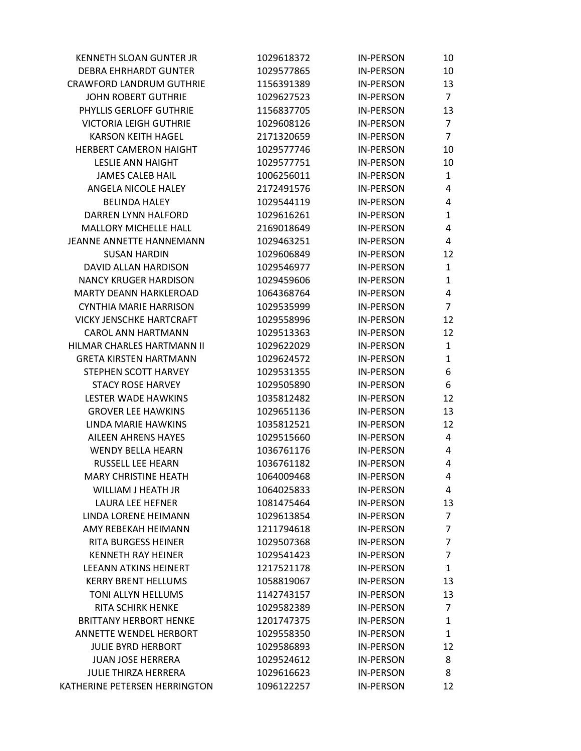| <b>KENNETH SLOAN GUNTER JR</b>  | 1029618372 | <b>IN-PERSON</b> | 10             |
|---------------------------------|------------|------------------|----------------|
| <b>DEBRA EHRHARDT GUNTER</b>    | 1029577865 | <b>IN-PERSON</b> | 10             |
| <b>CRAWFORD LANDRUM GUTHRIE</b> | 1156391389 | <b>IN-PERSON</b> | 13             |
| <b>JOHN ROBERT GUTHRIE</b>      | 1029627523 | <b>IN-PERSON</b> | $\overline{7}$ |
| PHYLLIS GERLOFF GUTHRIE         | 1156837705 | <b>IN-PERSON</b> | 13             |
| <b>VICTORIA LEIGH GUTHRIE</b>   | 1029608126 | <b>IN-PERSON</b> | $\overline{7}$ |
| <b>KARSON KEITH HAGEL</b>       | 2171320659 | <b>IN-PERSON</b> | $\overline{7}$ |
| <b>HERBERT CAMERON HAIGHT</b>   | 1029577746 | <b>IN-PERSON</b> | 10             |
| <b>LESLIE ANN HAIGHT</b>        | 1029577751 | <b>IN-PERSON</b> | 10             |
| <b>JAMES CALEB HAIL</b>         | 1006256011 | <b>IN-PERSON</b> | $\mathbf{1}$   |
| ANGELA NICOLE HALEY             | 2172491576 | <b>IN-PERSON</b> | 4              |
| <b>BELINDA HALEY</b>            | 1029544119 | <b>IN-PERSON</b> | 4              |
| DARREN LYNN HALFORD             | 1029616261 | <b>IN-PERSON</b> | $\mathbf{1}$   |
| <b>MALLORY MICHELLE HALL</b>    | 2169018649 | <b>IN-PERSON</b> | 4              |
| <b>JEANNE ANNETTE HANNEMANN</b> | 1029463251 | <b>IN-PERSON</b> | 4              |
| <b>SUSAN HARDIN</b>             | 1029606849 | <b>IN-PERSON</b> | 12             |
| DAVID ALLAN HARDISON            | 1029546977 | <b>IN-PERSON</b> | $\mathbf{1}$   |
| <b>NANCY KRUGER HARDISON</b>    | 1029459606 | <b>IN-PERSON</b> | $\mathbf{1}$   |
| MARTY DEANN HARKLEROAD          | 1064368764 | <b>IN-PERSON</b> | 4              |
| <b>CYNTHIA MARIE HARRISON</b>   | 1029535999 | <b>IN-PERSON</b> | $\overline{7}$ |
| <b>VICKY JENSCHKE HARTCRAFT</b> | 1029558996 | <b>IN-PERSON</b> | 12             |
| <b>CAROL ANN HARTMANN</b>       | 1029513363 | <b>IN-PERSON</b> | 12             |
| HILMAR CHARLES HARTMANN II      | 1029622029 | <b>IN-PERSON</b> | $\mathbf{1}$   |
| <b>GRETA KIRSTEN HARTMANN</b>   | 1029624572 | <b>IN-PERSON</b> | $\mathbf{1}$   |
| STEPHEN SCOTT HARVEY            | 1029531355 | <b>IN-PERSON</b> | 6              |
| <b>STACY ROSE HARVEY</b>        | 1029505890 | <b>IN-PERSON</b> | 6              |
| LESTER WADE HAWKINS             | 1035812482 | <b>IN-PERSON</b> | 12             |
| <b>GROVER LEE HAWKINS</b>       | 1029651136 | <b>IN-PERSON</b> | 13             |
| LINDA MARIE HAWKINS             | 1035812521 | <b>IN-PERSON</b> | 12             |
| <b>AILEEN AHRENS HAYES</b>      | 1029515660 | <b>IN-PERSON</b> | 4              |
| <b>WENDY BELLA HEARN</b>        | 1036761176 | <b>IN-PERSON</b> | 4              |
| RUSSELL LEE HEARN               | 1036761182 | <b>IN-PERSON</b> | 4              |
| <b>MARY CHRISTINE HEATH</b>     | 1064009468 | IN-PERSON        | 4              |
| WILLIAM J HEATH JR              | 1064025833 | <b>IN-PERSON</b> | 4              |
| <b>LAURA LEE HEFNER</b>         | 1081475464 | <b>IN-PERSON</b> | 13             |
| LINDA LORENE HEIMANN            | 1029613854 | <b>IN-PERSON</b> | $\overline{7}$ |
| AMY REBEKAH HEIMANN             | 1211794618 | <b>IN-PERSON</b> | 7              |
| <b>RITA BURGESS HEINER</b>      | 1029507368 | <b>IN-PERSON</b> | 7              |
| <b>KENNETH RAY HEINER</b>       | 1029541423 | <b>IN-PERSON</b> | 7              |
| <b>LEEANN ATKINS HEINERT</b>    | 1217521178 | <b>IN-PERSON</b> | 1              |
| <b>KERRY BRENT HELLUMS</b>      | 1058819067 | <b>IN-PERSON</b> | 13             |
| TONI ALLYN HELLUMS              | 1142743157 | <b>IN-PERSON</b> | 13             |
| <b>RITA SCHIRK HENKE</b>        | 1029582389 | <b>IN-PERSON</b> | 7              |
| <b>BRITTANY HERBORT HENKE</b>   | 1201747375 | <b>IN-PERSON</b> | 1              |
| ANNETTE WENDEL HERBORT          | 1029558350 | <b>IN-PERSON</b> | 1              |
| <b>JULIE BYRD HERBORT</b>       | 1029586893 | <b>IN-PERSON</b> | 12             |
| <b>JUAN JOSE HERRERA</b>        | 1029524612 | <b>IN-PERSON</b> | 8              |
| <b>JULIE THIRZA HERRERA</b>     | 1029616623 | <b>IN-PERSON</b> | 8              |
| KATHERINE PETERSEN HERRINGTON   | 1096122257 | <b>IN-PERSON</b> | 12             |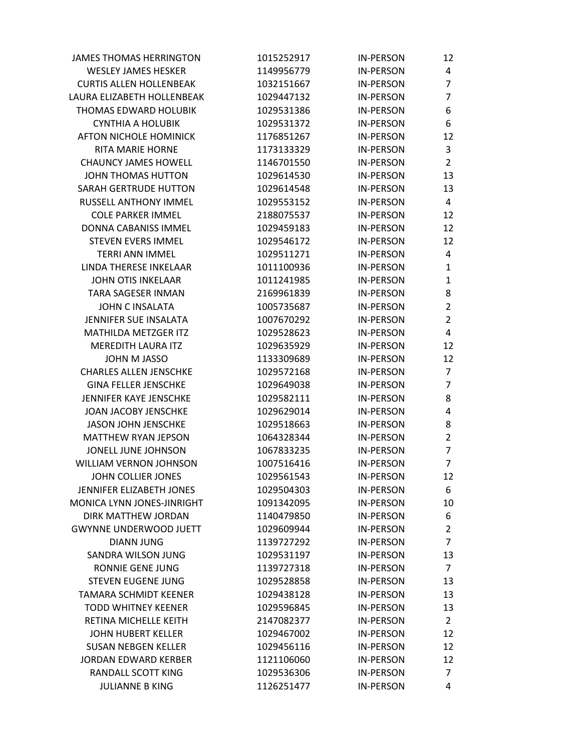| <b>JAMES THOMAS HERRINGTON</b> | 1015252917 | <b>IN-PERSON</b> | 12             |
|--------------------------------|------------|------------------|----------------|
| <b>WESLEY JAMES HESKER</b>     | 1149956779 | <b>IN-PERSON</b> | 4              |
| <b>CURTIS ALLEN HOLLENBEAK</b> | 1032151667 | <b>IN-PERSON</b> | $\overline{7}$ |
| LAURA ELIZABETH HOLLENBEAK     | 1029447132 | <b>IN-PERSON</b> | $\overline{7}$ |
| <b>THOMAS EDWARD HOLUBIK</b>   | 1029531386 | <b>IN-PERSON</b> | 6              |
| <b>CYNTHIA A HOLUBIK</b>       | 1029531372 | <b>IN-PERSON</b> | 6              |
| AFTON NICHOLE HOMINICK         | 1176851267 | <b>IN-PERSON</b> | 12             |
| <b>RITA MARIE HORNE</b>        | 1173133329 | <b>IN-PERSON</b> | 3              |
| <b>CHAUNCY JAMES HOWELL</b>    | 1146701550 | <b>IN-PERSON</b> | $\overline{2}$ |
| JOHN THOMAS HUTTON             | 1029614530 | <b>IN-PERSON</b> | 13             |
| <b>SARAH GERTRUDE HUTTON</b>   | 1029614548 | <b>IN-PERSON</b> | 13             |
| RUSSELL ANTHONY IMMEL          | 1029553152 | <b>IN-PERSON</b> | 4              |
| <b>COLE PARKER IMMEL</b>       | 2188075537 | <b>IN-PERSON</b> | 12             |
| DONNA CABANISS IMMEL           | 1029459183 | <b>IN-PERSON</b> | 12             |
| <b>STEVEN EVERS IMMEL</b>      | 1029546172 | <b>IN-PERSON</b> | 12             |
| <b>TERRI ANN IMMEL</b>         | 1029511271 | <b>IN-PERSON</b> | 4              |
| LINDA THERESE INKELAAR         | 1011100936 | <b>IN-PERSON</b> | $\mathbf{1}$   |
| <b>JOHN OTIS INKELAAR</b>      | 1011241985 | <b>IN-PERSON</b> | 1              |
| <b>TARA SAGESER INMAN</b>      | 2169961839 | <b>IN-PERSON</b> | 8              |
| <b>JOHN C INSALATA</b>         | 1005735687 | <b>IN-PERSON</b> | $\overline{2}$ |
| JENNIFER SUE INSALATA          | 1007670292 | <b>IN-PERSON</b> | $\overline{2}$ |
| <b>MATHILDA METZGER ITZ</b>    | 1029528623 | <b>IN-PERSON</b> | 4              |
| <b>MEREDITH LAURA ITZ</b>      | 1029635929 | <b>IN-PERSON</b> | 12             |
| <b>JOHN M JASSO</b>            | 1133309689 | <b>IN-PERSON</b> | 12             |
| <b>CHARLES ALLEN JENSCHKE</b>  | 1029572168 | <b>IN-PERSON</b> | 7              |
| <b>GINA FELLER JENSCHKE</b>    | 1029649038 | <b>IN-PERSON</b> | $\overline{7}$ |
| JENNIFER KAYE JENSCHKE         | 1029582111 | <b>IN-PERSON</b> | 8              |
| JOAN JACOBY JENSCHKE           | 1029629014 | <b>IN-PERSON</b> | 4              |
| <b>JASON JOHN JENSCHKE</b>     | 1029518663 | <b>IN-PERSON</b> | 8              |
| <b>MATTHEW RYAN JEPSON</b>     | 1064328344 | <b>IN-PERSON</b> | $\overline{2}$ |
| JONELL JUNE JOHNSON            | 1067833235 | <b>IN-PERSON</b> | $\overline{7}$ |
| WILLIAM VERNON JOHNSON         | 1007516416 | <b>IN-PERSON</b> | $\overline{7}$ |
| JOHN COLLIER JONES             | 1029561543 | <b>IN-PERSON</b> | 12             |
| JENNIFER ELIZABETH JONES       | 1029504303 | <b>IN-PERSON</b> | 6              |
| MONICA LYNN JONES-JINRIGHT     | 1091342095 | <b>IN-PERSON</b> | 10             |
| DIRK MATTHEW JORDAN            | 1140479850 | <b>IN-PERSON</b> | 6              |
| <b>GWYNNE UNDERWOOD JUETT</b>  | 1029609944 | <b>IN-PERSON</b> | $\overline{2}$ |
| <b>DIANN JUNG</b>              | 1139727292 | <b>IN-PERSON</b> | $\overline{7}$ |
| <b>SANDRA WILSON JUNG</b>      | 1029531197 | <b>IN-PERSON</b> | 13             |
| <b>RONNIE GENE JUNG</b>        | 1139727318 | <b>IN-PERSON</b> | $\overline{7}$ |
| <b>STEVEN EUGENE JUNG</b>      | 1029528858 | <b>IN-PERSON</b> | 13             |
| <b>TAMARA SCHMIDT KEENER</b>   | 1029438128 | <b>IN-PERSON</b> | 13             |
| <b>TODD WHITNEY KEENER</b>     | 1029596845 | <b>IN-PERSON</b> | 13             |
| RETINA MICHELLE KEITH          | 2147082377 | <b>IN-PERSON</b> | $\overline{2}$ |
| <b>JOHN HUBERT KELLER</b>      | 1029467002 | <b>IN-PERSON</b> | 12             |
| <b>SUSAN NEBGEN KELLER</b>     | 1029456116 | <b>IN-PERSON</b> | 12             |
| <b>JORDAN EDWARD KERBER</b>    | 1121106060 | <b>IN-PERSON</b> | 12             |
| RANDALL SCOTT KING             | 1029536306 | <b>IN-PERSON</b> | 7              |
| <b>JULIANNE B KING</b>         | 1126251477 | <b>IN-PERSON</b> | 4              |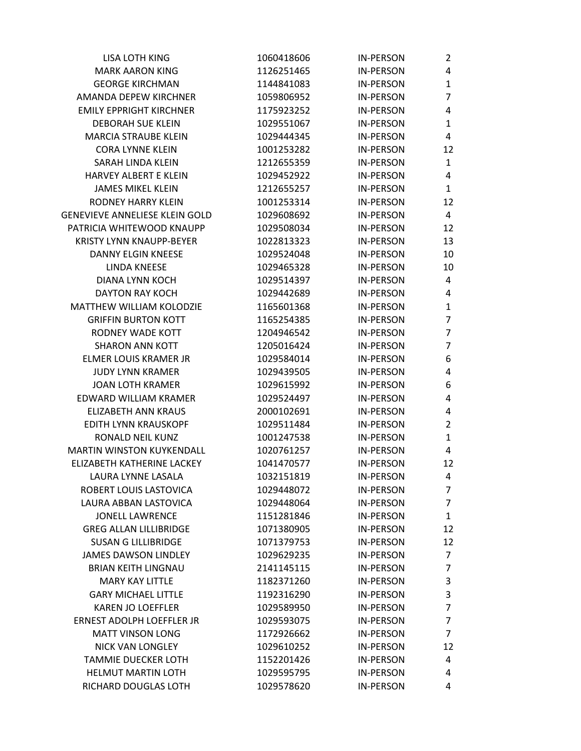| 1060418606 | <b>IN-PERSON</b> | $\mathbf{2}^{\prime}$ |
|------------|------------------|-----------------------|
| 1126251465 | <b>IN-PERSON</b> | 4                     |
| 1144841083 | <b>IN-PERSON</b> | 1                     |
| 1059806952 | <b>IN-PERSON</b> | 7                     |
| 1175923252 | <b>IN-PERSON</b> | 4                     |
| 1029551067 | <b>IN-PERSON</b> | $\mathbf{1}$          |
| 1029444345 | <b>IN-PERSON</b> | 4                     |
| 1001253282 | <b>IN-PERSON</b> | 12                    |
| 1212655359 | <b>IN-PERSON</b> | $\mathbf{1}$          |
| 1029452922 | <b>IN-PERSON</b> | 4                     |
| 1212655257 | <b>IN-PERSON</b> | $\mathbf{1}$          |
| 1001253314 | <b>IN-PERSON</b> | 12                    |
| 1029608692 | <b>IN-PERSON</b> | 4                     |
| 1029508034 | <b>IN-PERSON</b> | 12                    |
| 1022813323 | <b>IN-PERSON</b> | 13                    |
| 1029524048 | <b>IN-PERSON</b> | 10                    |
| 1029465328 | <b>IN-PERSON</b> | 10                    |
| 1029514397 | <b>IN-PERSON</b> | 4                     |
| 1029442689 | <b>IN-PERSON</b> | 4                     |
| 1165601368 | <b>IN-PERSON</b> | 1                     |
| 1165254385 | <b>IN-PERSON</b> | 7                     |
| 1204946542 | <b>IN-PERSON</b> | $\overline{7}$        |
| 1205016424 | <b>IN-PERSON</b> | 7                     |
| 1029584014 | <b>IN-PERSON</b> | 6                     |
| 1029439505 | <b>IN-PERSON</b> | 4                     |
| 1029615992 | <b>IN-PERSON</b> | 6                     |
| 1029524497 | <b>IN-PERSON</b> | 4                     |
| 2000102691 | <b>IN-PERSON</b> | 4                     |
| 1029511484 | <b>IN-PERSON</b> | $\overline{2}$        |
| 1001247538 | <b>IN-PERSON</b> | $\mathbf{1}$          |
| 1020761257 | <b>IN-PERSON</b> | 4                     |
| 1041470577 | <b>IN-PERSON</b> | 12                    |
| 1032151819 | IN-PERSON        | 4                     |
| 1029448072 | <b>IN-PERSON</b> | $\overline{7}$        |
| 1029448064 | <b>IN-PERSON</b> | $\overline{7}$        |
| 1151281846 | <b>IN-PERSON</b> | $\mathbf{1}$          |
| 1071380905 | <b>IN-PERSON</b> | 12                    |
| 1071379753 | <b>IN-PERSON</b> | 12                    |
| 1029629235 | <b>IN-PERSON</b> | 7                     |
| 2141145115 | <b>IN-PERSON</b> | $\overline{7}$        |
| 1182371260 | <b>IN-PERSON</b> | 3                     |
| 1192316290 | <b>IN-PERSON</b> | 3                     |
| 1029589950 | <b>IN-PERSON</b> | $\overline{7}$        |
| 1029593075 | <b>IN-PERSON</b> | $\overline{7}$        |
| 1172926662 | <b>IN-PERSON</b> | $\overline{7}$        |
| 1029610252 | <b>IN-PERSON</b> | 12                    |
| 1152201426 | <b>IN-PERSON</b> | 4                     |
| 1029595795 | <b>IN-PERSON</b> | 4                     |
| 1029578620 | <b>IN-PERSON</b> | 4                     |
|            |                  |                       |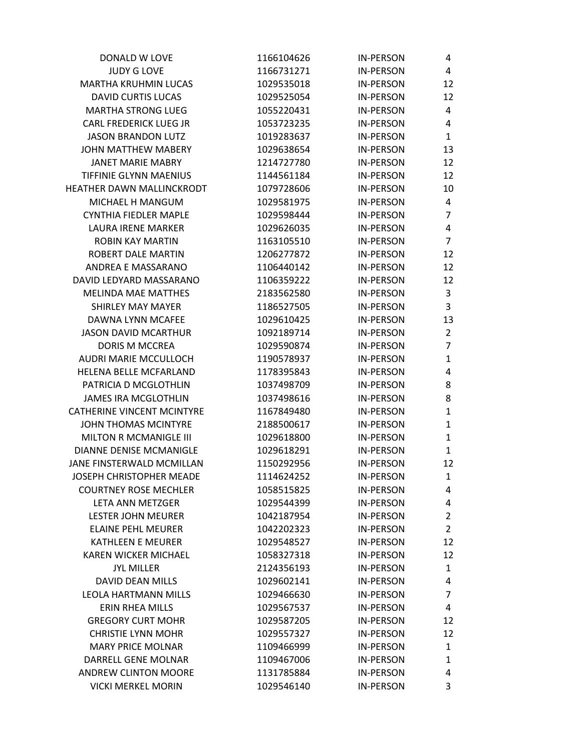| DONALD W LOVE                     | 1166104626 | <b>IN-PERSON</b> | 4              |
|-----------------------------------|------------|------------------|----------------|
| <b>JUDY G LOVE</b>                | 1166731271 | <b>IN-PERSON</b> | 4              |
| <b>MARTHA KRUHMIN LUCAS</b>       | 1029535018 | <b>IN-PERSON</b> | 12             |
| <b>DAVID CURTIS LUCAS</b>         | 1029525054 | <b>IN-PERSON</b> | 12             |
| <b>MARTHA STRONG LUEG</b>         | 1055220431 | <b>IN-PERSON</b> | 4              |
| CARL FREDERICK LUEG JR            | 1053723235 | <b>IN-PERSON</b> | 4              |
| <b>JASON BRANDON LUTZ</b>         | 1019283637 | <b>IN-PERSON</b> | $\mathbf{1}$   |
| JOHN MATTHEW MABERY               | 1029638654 | <b>IN-PERSON</b> | 13             |
| <b>JANET MARIE MABRY</b>          | 1214727780 | <b>IN-PERSON</b> | 12             |
| <b>TIFFINIE GLYNN MAENIUS</b>     | 1144561184 | <b>IN-PERSON</b> | 12             |
| HEATHER DAWN MALLINCKRODT         | 1079728606 | <b>IN-PERSON</b> | 10             |
| MICHAEL H MANGUM                  | 1029581975 | <b>IN-PERSON</b> | 4              |
| CYNTHIA FIEDLER MAPLE             | 1029598444 | <b>IN-PERSON</b> | $\overline{7}$ |
| LAURA IRENE MARKER                | 1029626035 | <b>IN-PERSON</b> | 4              |
| <b>ROBIN KAY MARTIN</b>           | 1163105510 | <b>IN-PERSON</b> | $\overline{7}$ |
| ROBERT DALE MARTIN                | 1206277872 | <b>IN-PERSON</b> | 12             |
| ANDREA E MASSARANO                | 1106440142 | <b>IN-PERSON</b> | 12             |
| DAVID LEDYARD MASSARANO           | 1106359222 | <b>IN-PERSON</b> | 12             |
| <b>MELINDA MAE MATTHES</b>        | 2183562580 | <b>IN-PERSON</b> | 3              |
| <b>SHIRLEY MAY MAYER</b>          | 1186527505 | <b>IN-PERSON</b> | 3              |
| DAWNA LYNN MCAFFF                 | 1029610425 | <b>IN-PERSON</b> | 13             |
| <b>JASON DAVID MCARTHUR</b>       | 1092189714 | <b>IN-PERSON</b> | $\overline{2}$ |
| <b>DORIS M MCCREA</b>             | 1029590874 | <b>IN-PERSON</b> | $\overline{7}$ |
| AUDRI MARIE MCCULLOCH             | 1190578937 | <b>IN-PERSON</b> | 1              |
| HELENA BELLE MCFARLAND            | 1178395843 | <b>IN-PERSON</b> | 4              |
| PATRICIA D MCGLOTHLIN             | 1037498709 | <b>IN-PERSON</b> | 8              |
| JAMES IRA MCGLOTHLIN              | 1037498616 | <b>IN-PERSON</b> | 8              |
| <b>CATHERINE VINCENT MCINTYRE</b> | 1167849480 | <b>IN-PERSON</b> | $\mathbf{1}$   |
| JOHN THOMAS MCINTYRE              | 2188500617 | <b>IN-PERSON</b> | 1              |
| MILTON R MCMANIGLE III            | 1029618800 | <b>IN-PERSON</b> | $\mathbf{1}$   |
| DIANNE DENISE MCMANIGLE           | 1029618291 | <b>IN-PERSON</b> | 1              |
| JANE FINSTERWALD MCMILLAN         | 1150292956 | <b>IN-PERSON</b> | 12             |
| JOSEPH CHRISTOPHER MEADE          | 1114624252 | <b>IN-PERSON</b> | $\mathbf{1}$   |
| <b>COURTNEY ROSE MECHLER</b>      | 1058515825 | <b>IN-PERSON</b> | 4              |
| LETA ANN METZGER                  | 1029544399 | <b>IN-PERSON</b> | 4              |
| <b>LESTER JOHN MEURER</b>         | 1042187954 | <b>IN-PERSON</b> | $\overline{2}$ |
| <b>ELAINE PEHL MEURER</b>         | 1042202323 | <b>IN-PERSON</b> | $\overline{2}$ |
| <b>KATHLEEN E MEURER</b>          | 1029548527 | <b>IN-PERSON</b> | 12             |
| <b>KAREN WICKER MICHAEL</b>       | 1058327318 | <b>IN-PERSON</b> | 12             |
| <b>JYL MILLER</b>                 | 2124356193 | <b>IN-PERSON</b> | $\mathbf{1}$   |
| <b>DAVID DEAN MILLS</b>           | 1029602141 | <b>IN-PERSON</b> | 4              |
| <b>LEOLA HARTMANN MILLS</b>       | 1029466630 | <b>IN-PERSON</b> | $\overline{7}$ |
| <b>ERIN RHEA MILLS</b>            | 1029567537 | <b>IN-PERSON</b> | 4              |
| <b>GREGORY CURT MOHR</b>          | 1029587205 | <b>IN-PERSON</b> | 12             |
| <b>CHRISTIE LYNN MOHR</b>         | 1029557327 | <b>IN-PERSON</b> | 12             |
| <b>MARY PRICE MOLNAR</b>          | 1109466999 | <b>IN-PERSON</b> | $\mathbf{1}$   |
| DARRELL GENE MOLNAR               | 1109467006 | <b>IN-PERSON</b> | 1              |
| <b>ANDREW CLINTON MOORE</b>       | 1131785884 | <b>IN-PERSON</b> | 4              |
| <b>VICKI MERKEL MORIN</b>         | 1029546140 | <b>IN-PERSON</b> | 3              |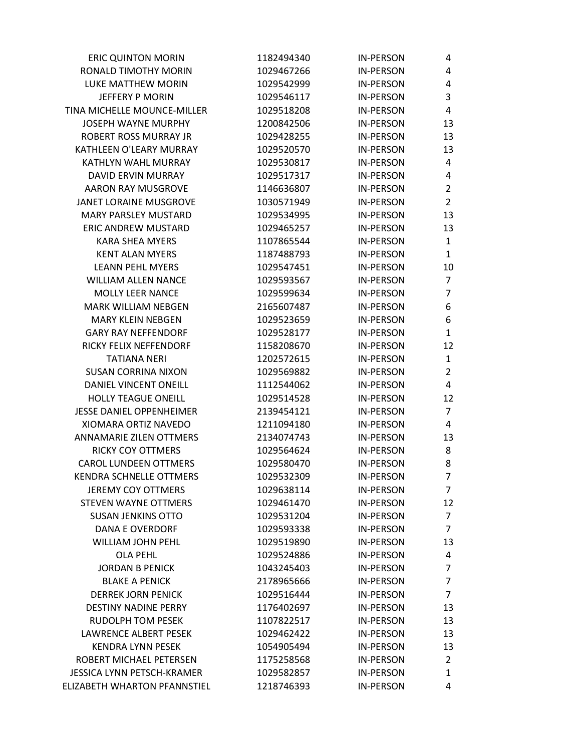| <b>ERIC QUINTON MORIN</b>       | 1182494340 | <b>IN-PERSON</b> | 4              |
|---------------------------------|------------|------------------|----------------|
| RONALD TIMOTHY MORIN            | 1029467266 | <b>IN-PERSON</b> | 4              |
| <b>LUKE MATTHEW MORIN</b>       | 1029542999 | <b>IN-PERSON</b> | 4              |
| JEFFERY P MORIN                 | 1029546117 | <b>IN-PERSON</b> | 3              |
| TINA MICHELLE MOUNCE-MILLER     | 1029518208 | <b>IN-PERSON</b> | 4              |
| <b>JOSEPH WAYNE MURPHY</b>      | 1200842506 | <b>IN-PERSON</b> | 13             |
| <b>ROBERT ROSS MURRAY JR</b>    | 1029428255 | <b>IN-PERSON</b> | 13             |
| KATHLEEN O'LEARY MURRAY         | 1029520570 | <b>IN-PERSON</b> | 13             |
| KATHLYN WAHL MURRAY             | 1029530817 | <b>IN-PERSON</b> | 4              |
| DAVID ERVIN MURRAY              | 1029517317 | <b>IN-PERSON</b> | 4              |
| <b>AARON RAY MUSGROVE</b>       | 1146636807 | <b>IN-PERSON</b> | $\overline{2}$ |
| JANET LORAINE MUSGROVE          | 1030571949 | <b>IN-PERSON</b> | $\overline{2}$ |
| <b>MARY PARSLEY MUSTARD</b>     | 1029534995 | <b>IN-PERSON</b> | 13             |
| <b>ERIC ANDREW MUSTARD</b>      | 1029465257 | <b>IN-PERSON</b> | 13             |
| <b>KARA SHEA MYERS</b>          | 1107865544 | <b>IN-PERSON</b> | $\mathbf{1}$   |
| <b>KENT ALAN MYERS</b>          | 1187488793 | <b>IN-PERSON</b> | $\mathbf{1}$   |
| <b>LEANN PEHL MYERS</b>         | 1029547451 | <b>IN-PERSON</b> | 10             |
| <b>WILLIAM ALLEN NANCE</b>      | 1029593567 | <b>IN-PERSON</b> | $\overline{7}$ |
| <b>MOLLY LEER NANCE</b>         | 1029599634 | <b>IN-PERSON</b> | $\overline{7}$ |
| <b>MARK WILLIAM NEBGEN</b>      | 2165607487 | <b>IN-PERSON</b> | 6              |
| <b>MARY KLEIN NEBGEN</b>        | 1029523659 | <b>IN-PERSON</b> | 6              |
| <b>GARY RAY NEFFENDORF</b>      | 1029528177 | <b>IN-PERSON</b> | $\mathbf{1}$   |
| RICKY FELIX NEFFENDORF          | 1158208670 | <b>IN-PERSON</b> | 12             |
| <b>TATIANA NERI</b>             | 1202572615 | <b>IN-PERSON</b> | 1              |
| <b>SUSAN CORRINA NIXON</b>      | 1029569882 | <b>IN-PERSON</b> | $\overline{2}$ |
| DANIEL VINCENT ONEILL           | 1112544062 | <b>IN-PERSON</b> | 4              |
| <b>HOLLY TEAGUE ONEILL</b>      | 1029514528 | <b>IN-PERSON</b> | 12             |
| <b>JESSE DANIEL OPPENHEIMER</b> | 2139454121 | <b>IN-PERSON</b> | $\overline{7}$ |
| XIOMARA ORTIZ NAVEDO            | 1211094180 | <b>IN-PERSON</b> | 4              |
| <b>ANNAMARIE ZILEN OTTMERS</b>  | 2134074743 | <b>IN-PERSON</b> | 13             |
| <b>RICKY COY OTTMERS</b>        | 1029564624 | <b>IN-PERSON</b> | 8              |
| <b>CAROL LUNDEEN OTTMERS</b>    | 1029580470 | <b>IN-PERSON</b> | 8              |
| KENDRA SCHNELLE OTTMERS         | 1029532309 | IN-PERSON        | $\overline{7}$ |
| <b>JEREMY COY OTTMERS</b>       | 1029638114 | <b>IN-PERSON</b> | $\overline{7}$ |
| <b>STEVEN WAYNE OTTMERS</b>     | 1029461470 | <b>IN-PERSON</b> | 12             |
| <b>SUSAN JENKINS OTTO</b>       | 1029531204 | <b>IN-PERSON</b> | $\overline{7}$ |
| <b>DANA E OVERDORF</b>          | 1029593338 | <b>IN-PERSON</b> | $\overline{7}$ |
| <b>WILLIAM JOHN PEHL</b>        | 1029519890 | <b>IN-PERSON</b> | 13             |
| <b>OLA PEHL</b>                 | 1029524886 | <b>IN-PERSON</b> | 4              |
| <b>JORDAN B PENICK</b>          | 1043245403 | <b>IN-PERSON</b> | 7              |
| <b>BLAKE A PENICK</b>           | 2178965666 | <b>IN-PERSON</b> | $\overline{7}$ |
| <b>DERREK JORN PENICK</b>       | 1029516444 | <b>IN-PERSON</b> | $\overline{7}$ |
| <b>DESTINY NADINE PERRY</b>     | 1176402697 | <b>IN-PERSON</b> | 13             |
| <b>RUDOLPH TOM PESEK</b>        | 1107822517 | <b>IN-PERSON</b> | 13             |
| <b>LAWRENCE ALBERT PESEK</b>    | 1029462422 | <b>IN-PERSON</b> | 13             |
| <b>KENDRA LYNN PESEK</b>        | 1054905494 | <b>IN-PERSON</b> | 13             |
| ROBERT MICHAEL PETERSEN         | 1175258568 | <b>IN-PERSON</b> | $\overline{2}$ |
| JESSICA LYNN PETSCH-KRAMER      | 1029582857 | <b>IN-PERSON</b> | $\mathbf{1}$   |
| ELIZABETH WHARTON PFANNSTIEL    | 1218746393 | <b>IN-PERSON</b> | 4              |
|                                 |            |                  |                |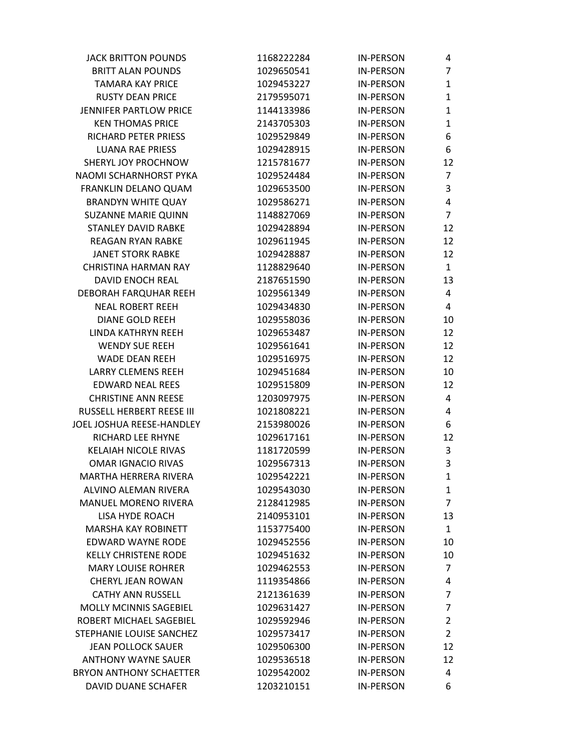| <b>JACK BRITTON POUNDS</b>     | 1168222284 | <b>IN-PERSON</b> | 4              |
|--------------------------------|------------|------------------|----------------|
| <b>BRITT ALAN POUNDS</b>       | 1029650541 | <b>IN-PERSON</b> | $\overline{7}$ |
| <b>TAMARA KAY PRICE</b>        | 1029453227 | <b>IN-PERSON</b> | 1              |
| <b>RUSTY DEAN PRICE</b>        | 2179595071 | <b>IN-PERSON</b> | $\mathbf{1}$   |
| <b>JENNIFER PARTLOW PRICE</b>  | 1144133986 | <b>IN-PERSON</b> | 1              |
| <b>KEN THOMAS PRICE</b>        | 2143705303 | <b>IN-PERSON</b> | 1              |
| RICHARD PETER PRIESS           | 1029529849 | <b>IN-PERSON</b> | 6              |
| <b>LUANA RAE PRIESS</b>        | 1029428915 | <b>IN-PERSON</b> | 6              |
| SHERYL JOY PROCHNOW            | 1215781677 | <b>IN-PERSON</b> | 12             |
| NAOMI SCHARNHORST PYKA         | 1029524484 | <b>IN-PERSON</b> | 7              |
| FRANKLIN DELANO QUAM           | 1029653500 | <b>IN-PERSON</b> | 3              |
| <b>BRANDYN WHITE QUAY</b>      | 1029586271 | <b>IN-PERSON</b> | 4              |
| SUZANNE MARIE QUINN            | 1148827069 | <b>IN-PERSON</b> | $\overline{7}$ |
| <b>STANLEY DAVID RABKE</b>     | 1029428894 | <b>IN-PERSON</b> | 12             |
| <b>REAGAN RYAN RABKE</b>       | 1029611945 | <b>IN-PERSON</b> | 12             |
| <b>JANET STORK RABKE</b>       | 1029428887 | <b>IN-PERSON</b> | 12             |
| <b>CHRISTINA HARMAN RAY</b>    | 1128829640 | <b>IN-PERSON</b> | $\mathbf{1}$   |
| <b>DAVID ENOCH REAL</b>        | 2187651590 | <b>IN-PERSON</b> | 13             |
| DEBORAH FARQUHAR REEH          | 1029561349 | <b>IN-PERSON</b> | 4              |
| <b>NEAL ROBERT REEH</b>        | 1029434830 | <b>IN-PERSON</b> | 4              |
| <b>DIANE GOLD REEH</b>         | 1029558036 | <b>IN-PERSON</b> | 10             |
| LINDA KATHRYN REEH             | 1029653487 | <b>IN-PERSON</b> | 12             |
| <b>WENDY SUE REEH</b>          | 1029561641 | <b>IN-PERSON</b> | 12             |
| <b>WADE DEAN REEH</b>          | 1029516975 | <b>IN-PERSON</b> | 12             |
| <b>LARRY CLEMENS REEH</b>      | 1029451684 | <b>IN-PERSON</b> | 10             |
| <b>EDWARD NEAL REES</b>        | 1029515809 | <b>IN-PERSON</b> | 12             |
| <b>CHRISTINE ANN REESE</b>     | 1203097975 | <b>IN-PERSON</b> | 4              |
| RUSSELL HERBERT REESE III      | 1021808221 | <b>IN-PERSON</b> | 4              |
| JOEL JOSHUA REESE-HANDLEY      | 2153980026 | <b>IN-PERSON</b> | 6              |
| <b>RICHARD LEE RHYNE</b>       | 1029617161 | <b>IN-PERSON</b> | 12             |
| <b>KELAIAH NICOLE RIVAS</b>    | 1181720599 | <b>IN-PERSON</b> | 3              |
| <b>OMAR IGNACIO RIVAS</b>      | 1029567313 | <b>IN-PERSON</b> | 3              |
| MARTHA HFRRFRA RIVFRA          | 1029542221 | <b>IN-PERSON</b> | $\mathbf{1}$   |
| ALVINO ALEMAN RIVERA           | 1029543030 | <b>IN-PERSON</b> | 1              |
| <b>MANUEL MORENO RIVERA</b>    | 2128412985 | <b>IN-PERSON</b> | $\overline{7}$ |
| LISA HYDE ROACH                | 2140953101 | <b>IN-PERSON</b> | 13             |
| <b>MARSHA KAY ROBINETT</b>     | 1153775400 | <b>IN-PERSON</b> | $\mathbf{1}$   |
| EDWARD WAYNE RODE              | 1029452556 | <b>IN-PERSON</b> | 10             |
| <b>KELLY CHRISTENE RODE</b>    | 1029451632 | <b>IN-PERSON</b> | 10             |
| <b>MARY LOUISE ROHRER</b>      | 1029462553 | <b>IN-PERSON</b> | 7              |
| CHERYL JEAN ROWAN              | 1119354866 | <b>IN-PERSON</b> | 4              |
| <b>CATHY ANN RUSSELL</b>       | 2121361639 | <b>IN-PERSON</b> | $\overline{7}$ |
| MOLLY MCINNIS SAGEBIEL         | 1029631427 | <b>IN-PERSON</b> | 7              |
| ROBERT MICHAEL SAGEBIEL        | 1029592946 | <b>IN-PERSON</b> | $\overline{2}$ |
| STEPHANIE LOUISE SANCHEZ       | 1029573417 | <b>IN-PERSON</b> | $\overline{2}$ |
| <b>JEAN POLLOCK SAUER</b>      | 1029506300 | <b>IN-PERSON</b> | 12             |
| <b>ANTHONY WAYNE SAUER</b>     | 1029536518 | <b>IN-PERSON</b> | 12             |
| <b>BRYON ANTHONY SCHAETTER</b> | 1029542002 | <b>IN-PERSON</b> | 4              |
| DAVID DUANE SCHAFER            | 1203210151 | <b>IN-PERSON</b> | 6              |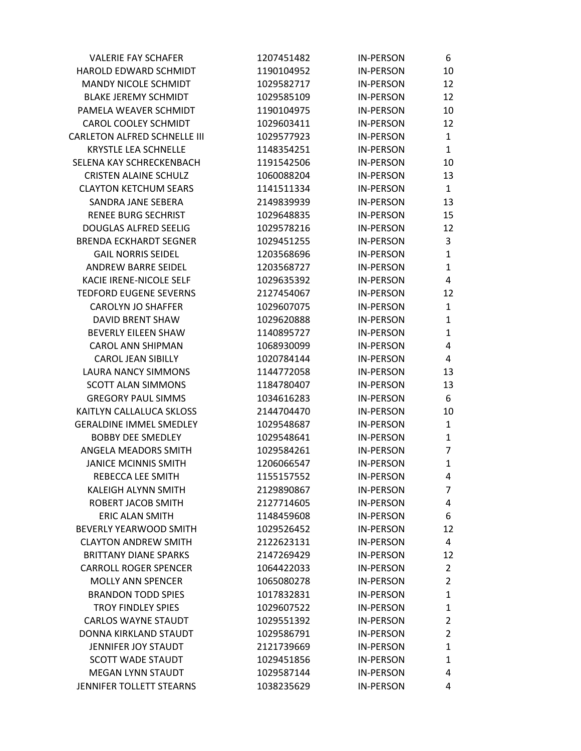| <b>VALERIE FAY SCHAFER</b>          | 1207451482 | <b>IN-PERSON</b> | 6              |
|-------------------------------------|------------|------------------|----------------|
| HAROLD EDWARD SCHMIDT               | 1190104952 | <b>IN-PERSON</b> | 10             |
| <b>MANDY NICOLE SCHMIDT</b>         | 1029582717 | <b>IN-PERSON</b> | 12             |
| <b>BLAKE JEREMY SCHMIDT</b>         | 1029585109 | <b>IN-PERSON</b> | 12             |
| PAMELA WEAVER SCHMIDT               | 1190104975 | <b>IN-PERSON</b> | 10             |
| CAROL COOLEY SCHMIDT                | 1029603411 | <b>IN-PERSON</b> | 12             |
| <b>CARLETON ALFRED SCHNELLE III</b> | 1029577923 | <b>IN-PERSON</b> | $\mathbf{1}$   |
| <b>KRYSTLE LEA SCHNELLE</b>         | 1148354251 | <b>IN-PERSON</b> | 1              |
| SELENA KAY SCHRECKENBACH            | 1191542506 | <b>IN-PERSON</b> | 10             |
| <b>CRISTEN ALAINE SCHULZ</b>        | 1060088204 | <b>IN-PERSON</b> | 13             |
| <b>CLAYTON KETCHUM SEARS</b>        | 1141511334 | <b>IN-PERSON</b> | $\mathbf{1}$   |
| SANDRA JANE SEBERA                  | 2149839939 | <b>IN-PERSON</b> | 13             |
| <b>RENEE BURG SECHRIST</b>          | 1029648835 | <b>IN-PERSON</b> | 15             |
| <b>DOUGLAS ALFRED SEELIG</b>        | 1029578216 | <b>IN-PERSON</b> | 12             |
| <b>BRENDA ECKHARDT SEGNER</b>       | 1029451255 | <b>IN-PERSON</b> | 3              |
| <b>GAIL NORRIS SEIDEL</b>           | 1203568696 | <b>IN-PERSON</b> | $\mathbf{1}$   |
| ANDREW BARRE SEIDEL                 | 1203568727 | <b>IN-PERSON</b> | $\mathbf{1}$   |
| KACIE IRENE-NICOLE SELF             | 1029635392 | <b>IN-PERSON</b> | 4              |
| <b>TEDFORD EUGENE SEVERNS</b>       | 2127454067 | <b>IN-PERSON</b> | 12             |
| <b>CAROLYN JO SHAFFER</b>           | 1029607075 | <b>IN-PERSON</b> | $\mathbf{1}$   |
| DAVID BRENT SHAW                    | 1029620888 | <b>IN-PERSON</b> | $\mathbf{1}$   |
| <b>BEVERLY EILEEN SHAW</b>          | 1140895727 | <b>IN-PERSON</b> | 1              |
| <b>CAROL ANN SHIPMAN</b>            | 1068930099 | <b>IN-PERSON</b> | 4              |
| <b>CAROL JEAN SIBILLY</b>           | 1020784144 | <b>IN-PERSON</b> | 4              |
| <b>LAURA NANCY SIMMONS</b>          | 1144772058 | <b>IN-PERSON</b> | 13             |
| <b>SCOTT ALAN SIMMONS</b>           | 1184780407 | <b>IN-PERSON</b> | 13             |
| <b>GREGORY PAUL SIMMS</b>           | 1034616283 | <b>IN-PERSON</b> | 6              |
| KAITLYN CALLALUCA SKLOSS            | 2144704470 | <b>IN-PERSON</b> | 10             |
| <b>GERALDINE IMMEL SMEDLEY</b>      | 1029548687 | <b>IN-PERSON</b> | 1              |
| <b>BOBBY DEE SMEDLEY</b>            | 1029548641 | <b>IN-PERSON</b> | $\mathbf{1}$   |
| <b>ANGELA MEADORS SMITH</b>         | 1029584261 | <b>IN-PERSON</b> | $\overline{7}$ |
| <b>JANICE MCINNIS SMITH</b>         | 1206066547 | <b>IN-PERSON</b> | $\mathbf{1}$   |
| REBECCA LEE SMITH                   | 1155157552 | <b>IN-PERSON</b> | 4              |
| <b>KALEIGH ALYNN SMITH</b>          | 2129890867 | <b>IN-PERSON</b> | 7              |
| ROBERT JACOB SMITH                  | 2127714605 | <b>IN-PERSON</b> | 4              |
| <b>ERIC ALAN SMITH</b>              | 1148459608 | <b>IN-PERSON</b> | 6              |
| BEVERLY YEARWOOD SMITH              | 1029526452 | <b>IN-PERSON</b> | 12             |
| <b>CLAYTON ANDREW SMITH</b>         | 2122623131 | <b>IN-PERSON</b> | 4              |
| <b>BRITTANY DIANE SPARKS</b>        | 2147269429 | <b>IN-PERSON</b> | 12             |
| <b>CARROLL ROGER SPENCER</b>        | 1064422033 | <b>IN-PERSON</b> | $\overline{2}$ |
| <b>MOLLY ANN SPENCER</b>            | 1065080278 | <b>IN-PERSON</b> | $\overline{2}$ |
| <b>BRANDON TODD SPIES</b>           | 1017832831 | <b>IN-PERSON</b> | 1              |
| <b>TROY FINDLEY SPIES</b>           | 1029607522 | <b>IN-PERSON</b> | 1              |
| <b>CARLOS WAYNE STAUDT</b>          | 1029551392 | <b>IN-PERSON</b> | 2              |
| DONNA KIRKLAND STAUDT               | 1029586791 | <b>IN-PERSON</b> | 2              |
| JENNIFER JOY STAUDT                 | 2121739669 | <b>IN-PERSON</b> | 1              |
| <b>SCOTT WADE STAUDT</b>            | 1029451856 | <b>IN-PERSON</b> | 1              |
| <b>MEGAN LYNN STAUDT</b>            | 1029587144 | <b>IN-PERSON</b> | 4              |
| JENNIFER TOLLETT STEARNS            | 1038235629 | <b>IN-PERSON</b> | 4              |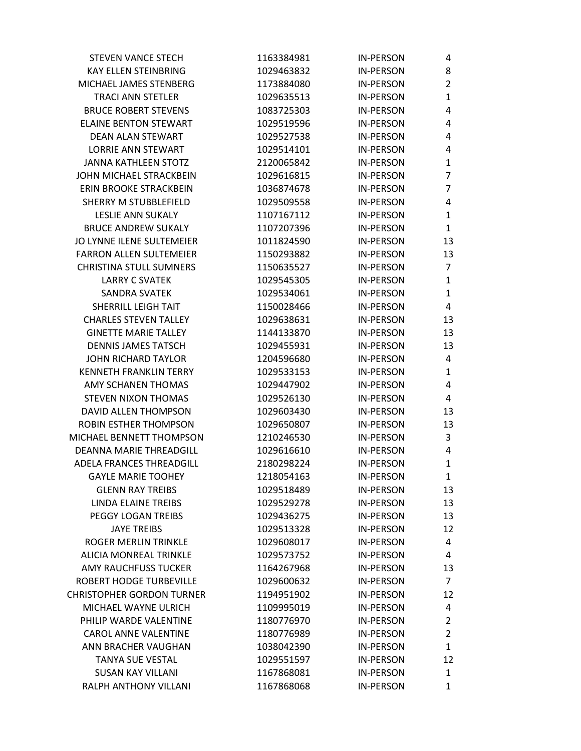| <b>STEVEN VANCE STECH</b>        | 1163384981 | <b>IN-PERSON</b> | 4              |
|----------------------------------|------------|------------------|----------------|
| <b>KAY ELLEN STEINBRING</b>      | 1029463832 | <b>IN-PERSON</b> | 8              |
| MICHAEL JAMES STENBERG           | 1173884080 | <b>IN-PERSON</b> | $\overline{2}$ |
| <b>TRACI ANN STETLER</b>         | 1029635513 | <b>IN-PERSON</b> | $\mathbf{1}$   |
| <b>BRUCE ROBERT STEVENS</b>      | 1083725303 | <b>IN-PERSON</b> | 4              |
| <b>ELAINE BENTON STEWART</b>     | 1029519596 | <b>IN-PERSON</b> | 4              |
| DEAN ALAN STEWART                | 1029527538 | <b>IN-PERSON</b> | 4              |
| <b>LORRIE ANN STEWART</b>        | 1029514101 | <b>IN-PERSON</b> | 4              |
| <b>JANNA KATHLEEN STOTZ</b>      | 2120065842 | <b>IN-PERSON</b> | $\mathbf{1}$   |
| JOHN MICHAEL STRACKBEIN          | 1029616815 | <b>IN-PERSON</b> | 7              |
| ERIN BROOKE STRACKBEIN           | 1036874678 | <b>IN-PERSON</b> | $\overline{7}$ |
| <b>SHERRY M STUBBLEFIELD</b>     | 1029509558 | <b>IN-PERSON</b> | 4              |
| <b>LESLIE ANN SUKALY</b>         | 1107167112 | <b>IN-PERSON</b> | 1              |
| <b>BRUCE ANDREW SUKALY</b>       | 1107207396 | <b>IN-PERSON</b> | $\mathbf{1}$   |
| JO LYNNE ILENE SULTEMEIER        | 1011824590 | <b>IN-PERSON</b> | 13             |
| <b>FARRON ALLEN SULTEMEIER</b>   | 1150293882 | <b>IN-PERSON</b> | 13             |
| <b>CHRISTINA STULL SUMNERS</b>   | 1150635527 | <b>IN-PERSON</b> | $\overline{7}$ |
| <b>LARRY C SVATEK</b>            | 1029545305 | <b>IN-PERSON</b> | $\mathbf{1}$   |
| <b>SANDRA SVATEK</b>             | 1029534061 | <b>IN-PERSON</b> | $\mathbf{1}$   |
| SHERRILL LEIGH TAIT              | 1150028466 | <b>IN-PERSON</b> | 4              |
| <b>CHARLES STEVEN TALLEY</b>     | 1029638631 | <b>IN-PERSON</b> | 13             |
| <b>GINETTE MARIE TALLEY</b>      | 1144133870 | <b>IN-PERSON</b> | 13             |
| <b>DENNIS JAMES TATSCH</b>       | 1029455931 | <b>IN-PERSON</b> | 13             |
| <b>JOHN RICHARD TAYLOR</b>       | 1204596680 | <b>IN-PERSON</b> | 4              |
| <b>KENNETH FRANKLIN TERRY</b>    | 1029533153 | <b>IN-PERSON</b> | $\mathbf{1}$   |
| AMY SCHANEN THOMAS               | 1029447902 | <b>IN-PERSON</b> | 4              |
| <b>STEVEN NIXON THOMAS</b>       | 1029526130 | <b>IN-PERSON</b> | 4              |
| DAVID ALLEN THOMPSON             | 1029603430 | <b>IN-PERSON</b> | 13             |
| <b>ROBIN ESTHER THOMPSON</b>     | 1029650807 | <b>IN-PERSON</b> | 13             |
| MICHAEL BENNETT THOMPSON         | 1210246530 | <b>IN-PERSON</b> | 3              |
| DEANNA MARIE THREADGILL          | 1029616610 | <b>IN-PERSON</b> | 4              |
| <b>ADELA FRANCES THREADGILL</b>  | 2180298224 | <b>IN-PERSON</b> | $\mathbf{1}$   |
| <b>GAYLE MARIE TOOHEY</b>        | 1218054163 | IN-PERSON        | $\mathbf{1}$   |
| <b>GLENN RAY TREIBS</b>          | 1029518489 | <b>IN-PERSON</b> | 13             |
| LINDA ELAINE TREIBS              | 1029529278 | <b>IN-PERSON</b> | 13             |
| PEGGY LOGAN TREIBS               | 1029436275 | <b>IN-PERSON</b> | 13             |
| <b>JAYE TREIBS</b>               | 1029513328 | <b>IN-PERSON</b> | 12             |
| ROGER MERLIN TRINKLE             | 1029608017 | <b>IN-PERSON</b> | 4              |
| <b>ALICIA MONREAL TRINKLE</b>    | 1029573752 | <b>IN-PERSON</b> | 4              |
| <b>AMY RAUCHFUSS TUCKER</b>      | 1164267968 | <b>IN-PERSON</b> | 13             |
| ROBERT HODGE TURBEVILLE          | 1029600632 | <b>IN-PERSON</b> | 7              |
| <b>CHRISTOPHER GORDON TURNER</b> | 1194951902 | <b>IN-PERSON</b> | 12             |
| MICHAEL WAYNE ULRICH             | 1109995019 | <b>IN-PERSON</b> | 4              |
| PHILIP WARDE VALENTINE           | 1180776970 | <b>IN-PERSON</b> | $\overline{2}$ |
| <b>CAROL ANNE VALENTINE</b>      | 1180776989 | <b>IN-PERSON</b> | $\overline{2}$ |
| ANN BRACHER VAUGHAN              | 1038042390 | <b>IN-PERSON</b> | $\mathbf{1}$   |
| <b>TANYA SUE VESTAL</b>          | 1029551597 | <b>IN-PERSON</b> | 12             |
| <b>SUSAN KAY VILLANI</b>         | 1167868081 | <b>IN-PERSON</b> | $\mathbf{1}$   |
| RALPH ANTHONY VILLANI            | 1167868068 | <b>IN-PERSON</b> | $\mathbf{1}$   |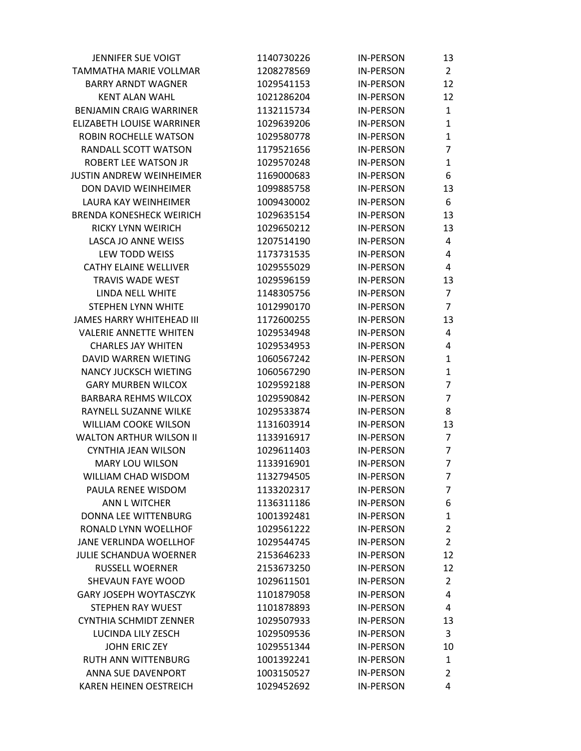| <b>JENNIFER SUE VOIGT</b>        | 1140730226 | <b>IN-PERSON</b> | 13             |
|----------------------------------|------------|------------------|----------------|
| <b>TAMMATHA MARIE VOLLMAR</b>    | 1208278569 | <b>IN-PERSON</b> | $\overline{2}$ |
| <b>BARRY ARNDT WAGNER</b>        | 1029541153 | <b>IN-PERSON</b> | 12             |
| <b>KENT ALAN WAHL</b>            | 1021286204 | <b>IN-PERSON</b> | 12             |
| <b>BENJAMIN CRAIG WARRINER</b>   | 1132115734 | <b>IN-PERSON</b> | $\mathbf{1}$   |
| ELIZABETH LOUISE WARRINER        | 1029639206 | <b>IN-PERSON</b> | 1              |
| ROBIN ROCHELLE WATSON            | 1029580778 | <b>IN-PERSON</b> | $\mathbf{1}$   |
| RANDALL SCOTT WATSON             | 1179521656 | <b>IN-PERSON</b> | 7              |
| <b>ROBERT LEE WATSON JR</b>      | 1029570248 | <b>IN-PERSON</b> | 1              |
| <b>JUSTIN ANDREW WEINHEIMER</b>  | 1169000683 | <b>IN-PERSON</b> | 6              |
| DON DAVID WEINHEIMER             | 1099885758 | <b>IN-PERSON</b> | 13             |
| LAURA KAY WEINHEIMER             | 1009430002 | <b>IN-PERSON</b> | 6              |
| <b>BRENDA KONESHECK WEIRICH</b>  | 1029635154 | <b>IN-PERSON</b> | 13             |
| RICKY LYNN WEIRICH               | 1029650212 | <b>IN-PERSON</b> | 13             |
| LASCA JO ANNE WEISS              | 1207514190 | <b>IN-PERSON</b> | 4              |
| LEW TODD WEISS                   | 1173731535 | <b>IN-PERSON</b> | 4              |
| CATHY ELAINE WELLIVER            | 1029555029 | <b>IN-PERSON</b> | 4              |
| <b>TRAVIS WADE WEST</b>          | 1029596159 | <b>IN-PERSON</b> | 13             |
| LINDA NELL WHITE                 | 1148305756 | <b>IN-PERSON</b> | 7              |
| STEPHEN LYNN WHITE               | 1012990170 | <b>IN-PERSON</b> | $\overline{7}$ |
| <b>JAMES HARRY WHITEHEAD III</b> | 1172600255 | <b>IN-PERSON</b> | 13             |
| <b>VALERIE ANNETTE WHITEN</b>    | 1029534948 | <b>IN-PERSON</b> | 4              |
| <b>CHARLES JAY WHITEN</b>        | 1029534953 | <b>IN-PERSON</b> | 4              |
| DAVID WARREN WIETING             | 1060567242 | <b>IN-PERSON</b> | 1              |
| <b>NANCY JUCKSCH WIETING</b>     | 1060567290 | <b>IN-PERSON</b> | 1              |
| <b>GARY MURBEN WILCOX</b>        | 1029592188 | <b>IN-PERSON</b> | 7              |
| <b>BARBARA REHMS WILCOX</b>      | 1029590842 | <b>IN-PERSON</b> | $\overline{7}$ |
| RAYNELL SUZANNE WILKE            | 1029533874 | <b>IN-PERSON</b> | 8              |
| <b>WILLIAM COOKE WILSON</b>      | 1131603914 | <b>IN-PERSON</b> | 13             |
| <b>WALTON ARTHUR WILSON II</b>   | 1133916917 | <b>IN-PERSON</b> | $\overline{7}$ |
| <b>CYNTHIA JEAN WILSON</b>       | 1029611403 | <b>IN-PERSON</b> | 7              |
| <b>MARY LOU WILSON</b>           | 1133916901 | <b>IN-PERSON</b> | $\overline{7}$ |
| WILLIAM CHAD WISDOM              | 1132794505 | <b>IN-PERSON</b> | 7              |
| PAULA RENEE WISDOM               | 1133202317 | <b>IN-PERSON</b> | 7              |
| ANN L WITCHER                    | 1136311186 | <b>IN-PERSON</b> | 6              |
| DONNA LEE WITTENBURG             | 1001392481 | <b>IN-PERSON</b> | 1              |
| RONALD LYNN WOELLHOF             | 1029561222 | <b>IN-PERSON</b> | $\overline{2}$ |
| <b>JANE VERLINDA WOELLHOF</b>    | 1029544745 | <b>IN-PERSON</b> | $\overline{2}$ |
| JULIE SCHANDUA WOERNER           | 2153646233 | <b>IN-PERSON</b> | 12             |
| <b>RUSSELL WOERNER</b>           | 2153673250 | <b>IN-PERSON</b> | 12             |
| SHEVAUN FAYE WOOD                | 1029611501 | <b>IN-PERSON</b> | $\overline{2}$ |
| <b>GARY JOSEPH WOYTASCZYK</b>    | 1101879058 | <b>IN-PERSON</b> | 4              |
| STEPHEN RAY WUEST                | 1101878893 | <b>IN-PERSON</b> | 4              |
| <b>CYNTHIA SCHMIDT ZENNER</b>    | 1029507933 | <b>IN-PERSON</b> | 13             |
| LUCINDA LILY ZESCH               | 1029509536 | <b>IN-PERSON</b> | 3              |
| <b>JOHN ERIC ZEY</b>             | 1029551344 | <b>IN-PERSON</b> | 10             |
| RUTH ANN WITTENBURG              | 1001392241 | <b>IN-PERSON</b> | 1              |
| ANNA SUE DAVENPORT               | 1003150527 | <b>IN-PERSON</b> | 2              |
| <b>KAREN HEINEN OESTREICH</b>    | 1029452692 | <b>IN-PERSON</b> | 4              |